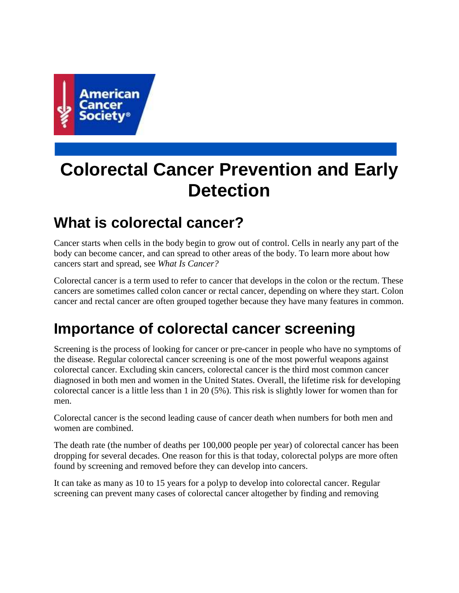

# **Colorectal Cancer Prevention and Early Detection**

# **What is colorectal cancer?**

Cancer starts when cells in the body begin to grow out of control. Cells in nearly any part of the body can become cancer, and can spread to other areas of the body. To learn more about how cancers start and spread, see *What Is Cancer?*

Colorectal cancer is a term used to refer to cancer that develops in the colon or the rectum. These cancers are sometimes called colon cancer or rectal cancer, depending on where they start. Colon cancer and rectal cancer are often grouped together because they have many features in common.

# **Importance of colorectal cancer screening**

Screening is the process of looking for cancer or pre-cancer in people who have no symptoms of the disease. Regular colorectal cancer screening is one of the most powerful weapons against colorectal cancer. Excluding skin cancers, colorectal cancer is the third most common cancer diagnosed in both men and women in the United States. Overall, the lifetime risk for developing colorectal cancer is a little less than 1 in 20 (5%). This risk is slightly lower for women than for men.

Colorectal cancer is the second leading cause of cancer death when numbers for both men and women are combined.

The death rate (the number of deaths per 100,000 people per year) of colorectal cancer has been dropping for several decades. One reason for this is that today, colorectal polyps are more often found by screening and removed before they can develop into cancers.

It can take as many as 10 to 15 years for a polyp to develop into colorectal cancer. Regular screening can prevent many cases of colorectal cancer altogether by finding and removing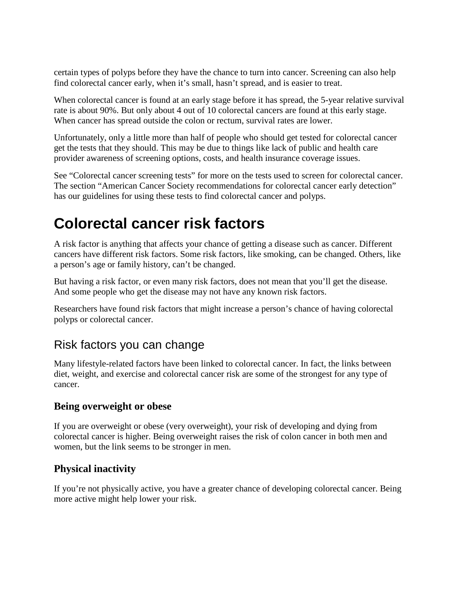certain types of polyps before they have the chance to turn into cancer. Screening can also help find colorectal cancer early, when it's small, hasn't spread, and is easier to treat.

When colorectal cancer is found at an early stage before it has spread, the 5-year relative survival rate is about 90%. But only about 4 out of 10 colorectal cancers are found at this early stage. When cancer has spread outside the colon or rectum, survival rates are lower.

Unfortunately, only a little more than half of people who should get tested for colorectal cancer get the tests that they should. This may be due to things like lack of public and health care provider awareness of screening options, costs, and health insurance coverage issues.

See "Colorectal cancer screening tests" for more on the tests used to screen for colorectal cancer. The section "American Cancer Society recommendations for colorectal cancer early detection" has our guidelines for using these tests to find colorectal cancer and polyps.

# **Colorectal cancer risk factors**

A risk factor is anything that affects your chance of getting a disease such as cancer. Different cancers have different risk factors. Some risk factors, like smoking, can be changed. Others, like a person's age or family history, can't be changed.

But having a risk factor, or even many risk factors, does not mean that you'll get the disease. And some people who get the disease may not have any known risk factors.

Researchers have found risk factors that might increase a person's chance of having colorectal polyps or colorectal cancer.

## Risk factors you can change

Many lifestyle-related factors have been linked to colorectal cancer. In fact, the links between diet, weight, and exercise and colorectal cancer risk are some of the strongest for any type of cancer.

### **Being overweight or obese**

If you are overweight or obese (very overweight), your risk of developing and dying from colorectal cancer is higher. Being overweight raises the risk of colon cancer in both men and women, but the link seems to be stronger in men.

## **Physical inactivity**

If you're not physically active, you have a greater chance of developing colorectal cancer. Being more active might help lower your risk.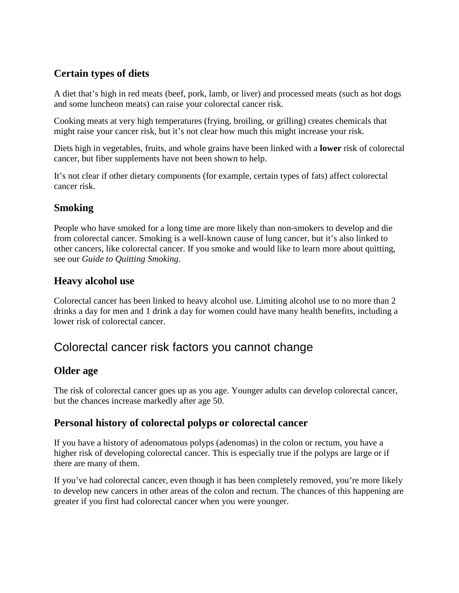## **Certain types of diets**

A diet that's high in red meats (beef, pork, lamb, or liver) and processed meats (such as hot dogs and some luncheon meats) can raise your colorectal cancer risk.

Cooking meats at very high temperatures (frying, broiling, or grilling) creates chemicals that might raise your cancer risk, but it's not clear how much this might increase your risk.

Diets high in vegetables, fruits, and whole grains have been linked with a **lower** risk of colorectal cancer, but fiber supplements have not been shown to help.

It's not clear if other dietary components (for example, certain types of fats) affect colorectal cancer risk.

## **Smoking**

People who have smoked for a long time are more likely than non-smokers to develop and die from colorectal cancer. Smoking is a well-known cause of lung cancer, but it's also linked to other cancers, like colorectal cancer. If you smoke and would like to learn more about quitting, see our *Guide to Quitting Smoking*.

### **Heavy alcohol use**

Colorectal cancer has been linked to heavy alcohol use. Limiting alcohol use to no more than 2 drinks a day for men and 1 drink a day for women could have many health benefits, including a lower risk of colorectal cancer.

## Colorectal cancer risk factors you cannot change

## **Older age**

The risk of colorectal cancer goes up as you age. Younger adults can develop colorectal cancer, but the chances increase markedly after age 50.

### **Personal history of colorectal polyps or colorectal cancer**

If you have a history of adenomatous polyps (adenomas) in the colon or rectum, you have a higher risk of developing colorectal cancer. This is especially true if the polyps are large or if there are many of them.

If you've had colorectal cancer, even though it has been completely removed, you're more likely to develop new cancers in other areas of the colon and rectum. The chances of this happening are greater if you first had colorectal cancer when you were younger.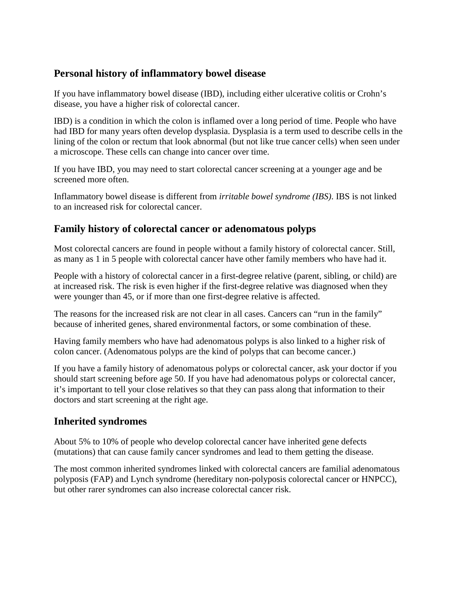### **Personal history of inflammatory bowel disease**

If you have inflammatory bowel disease (IBD), including either ulcerative colitis or Crohn's disease, you have a higher risk of colorectal cancer.

IBD) is a condition in which the colon is inflamed over a long period of time. People who have had IBD for many years often develop dysplasia. Dysplasia is a term used to describe cells in the lining of the colon or rectum that look abnormal (but not like true cancer cells) when seen under a microscope. These cells can change into cancer over time.

If you have IBD, you may need to start colorectal cancer screening at a younger age and be screened more often.

Inflammatory bowel disease is different from *irritable bowel syndrome (IBS)*. IBS is not linked to an increased risk for colorectal cancer.

## **Family history of colorectal cancer or adenomatous polyps**

Most colorectal cancers are found in people without a family history of colorectal cancer. Still, as many as 1 in 5 people with colorectal cancer have other family members who have had it.

People with a history of colorectal cancer in a first-degree relative (parent, sibling, or child) are at increased risk. The risk is even higher if the first-degree relative was diagnosed when they were younger than 45, or if more than one first-degree relative is affected.

The reasons for the increased risk are not clear in all cases. Cancers can "run in the family" because of inherited genes, shared environmental factors, or some combination of these.

Having family members who have had adenomatous polyps is also linked to a higher risk of colon cancer. (Adenomatous polyps are the kind of polyps that can become cancer.)

If you have a family history of adenomatous polyps or colorectal cancer, ask your doctor if you should start screening before age 50. If you have had adenomatous polyps or colorectal cancer, it's important to tell your close relatives so that they can pass along that information to their doctors and start screening at the right age.

### **Inherited syndromes**

About 5% to 10% of people who develop colorectal cancer have inherited gene defects (mutations) that can cause family cancer syndromes and lead to them getting the disease.

The most common inherited syndromes linked with colorectal cancers are familial adenomatous polyposis (FAP) and Lynch syndrome (hereditary non-polyposis colorectal cancer or HNPCC), but other rarer syndromes can also increase colorectal cancer risk.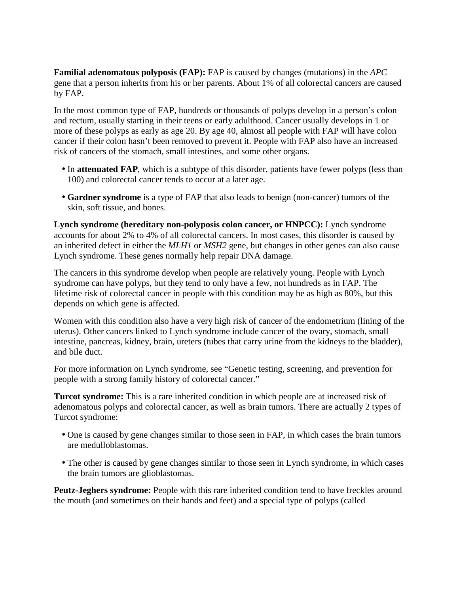**Familial adenomatous polyposis (FAP):** FAP is caused by changes (mutations) in the *APC* gene that a person inherits from his or her parents. About 1% of all colorectal cancers are caused by FAP.

In the most common type of FAP, hundreds or thousands of polyps develop in a person's colon and rectum, usually starting in their teens or early adulthood. Cancer usually develops in 1 or more of these polyps as early as age 20. By age 40, almost all people with FAP will have colon cancer if their colon hasn't been removed to prevent it. People with FAP also have an increased risk of cancers of the stomach, small intestines, and some other organs.

- In **attenuated FAP**, which is a subtype of this disorder, patients have fewer polyps (less than 100) and colorectal cancer tends to occur at a later age.
- **Gardner syndrome** is a type of FAP that also leads to benign (non-cancer) tumors of the skin, soft tissue, and bones.

**Lynch syndrome (hereditary non-polyposis colon cancer, or HNPCC):** Lynch syndrome accounts for about 2% to 4% of all colorectal cancers. In most cases, this disorder is caused by an inherited defect in either the *MLH1* or *MSH2* gene, but changes in other genes can also cause Lynch syndrome. These genes normally help repair DNA damage.

The cancers in this syndrome develop when people are relatively young. People with Lynch syndrome can have polyps, but they tend to only have a few, not hundreds as in FAP. The lifetime risk of colorectal cancer in people with this condition may be as high as 80%, but this depends on which gene is affected.

Women with this condition also have a very high risk of cancer of the endometrium (lining of the uterus). Other cancers linked to Lynch syndrome include cancer of the ovary, stomach, small intestine, pancreas, kidney, brain, ureters (tubes that carry urine from the kidneys to the bladder), and bile duct.

For more information on Lynch syndrome, see "Genetic testing, screening, and prevention for people with a strong family history of colorectal cancer."

**Turcot syndrome:** This is a rare inherited condition in which people are at increased risk of adenomatous polyps and colorectal cancer, as well as brain tumors. There are actually 2 types of Turcot syndrome:

- One is caused by gene changes similar to those seen in FAP, in which cases the brain tumors are medulloblastomas.
- The other is caused by gene changes similar to those seen in Lynch syndrome, in which cases the brain tumors are glioblastomas.

**Peutz-Jeghers syndrome:** People with this rare inherited condition tend to have freckles around the mouth (and sometimes on their hands and feet) and a special type of polyps (called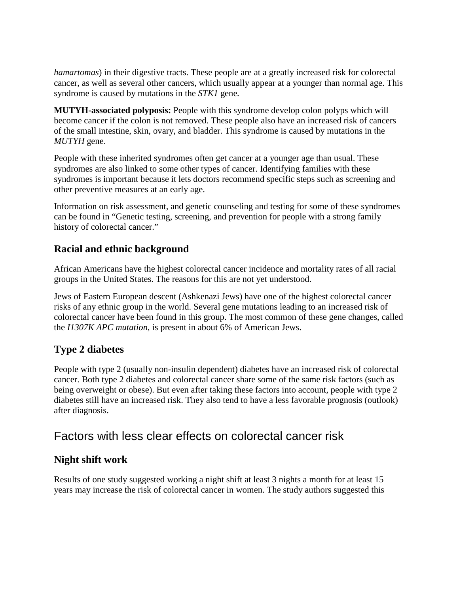*hamartomas*) in their digestive tracts. These people are at a greatly increased risk for colorectal cancer, as well as several other cancers, which usually appear at a younger than normal age. This syndrome is caused by mutations in the *STK1* gene*.*

**MUTYH-associated polyposis:** People with this syndrome develop colon polyps which will become cancer if the colon is not removed. These people also have an increased risk of cancers of the small intestine, skin, ovary, and bladder. This syndrome is caused by mutations in the *MUTYH* gene.

People with these inherited syndromes often get cancer at a younger age than usual. These syndromes are also linked to some other types of cancer. Identifying families with these syndromes is important because it lets doctors recommend specific steps such as screening and other preventive measures at an early age.

Information on risk assessment, and genetic counseling and testing for some of these syndromes can be found in "Genetic testing, screening, and prevention for people with a strong family history of colorectal cancer."

## **Racial and ethnic background**

African Americans have the highest colorectal cancer incidence and mortality rates of all racial groups in the United States. The reasons for this are not yet understood.

Jews of Eastern European descent (Ashkenazi Jews) have one of the highest colorectal cancer risks of any ethnic group in the world. Several gene mutations leading to an increased risk of colorectal cancer have been found in this group. The most common of these gene changes, called the *I1307K APC mutation*, is present in about 6% of American Jews.

## **Type 2 diabetes**

People with type 2 (usually non-insulin dependent) diabetes have an increased risk of colorectal cancer. Both type 2 diabetes and colorectal cancer share some of the same risk factors (such as being overweight or obese). But even after taking these factors into account, people with type 2 diabetes still have an increased risk. They also tend to have a less favorable prognosis (outlook) after diagnosis.

## Factors with less clear effects on colorectal cancer risk

### **Night shift work**

Results of one study suggested working a night shift at least 3 nights a month for at least 15 years may increase the risk of colorectal cancer in women. The study authors suggested this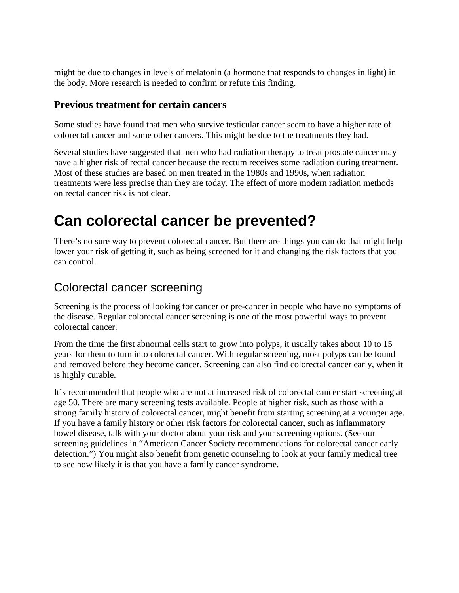might be due to changes in levels of melatonin (a hormone that responds to changes in light) in the body. More research is needed to confirm or refute this finding.

#### **Previous treatment for certain cancers**

Some studies have found that men who survive testicular cancer seem to have a higher rate of colorectal cancer and some other cancers. This might be due to the treatments they had.

Several studies have suggested that men who had radiation therapy to treat prostate cancer may have a higher risk of rectal cancer because the rectum receives some radiation during treatment. Most of these studies are based on men treated in the 1980s and 1990s, when radiation treatments were less precise than they are today. The effect of more modern radiation methods on rectal cancer risk is not clear.

# **Can colorectal cancer be prevented?**

There's no sure way to prevent colorectal cancer. But there are things you can do that might help lower your risk of getting it, such as being screened for it and changing the risk factors that you can control.

## Colorectal cancer screening

Screening is the process of looking for cancer or pre-cancer in people who have no symptoms of the disease. Regular colorectal cancer screening is one of the most powerful ways to prevent colorectal cancer.

From the time the first abnormal cells start to grow into polyps, it usually takes about 10 to 15 years for them to turn into colorectal cancer. With regular screening, most polyps can be found and removed before they become cancer. Screening can also find colorectal cancer early, when it is highly curable.

It's recommended that people who are not at increased risk of colorectal cancer start screening at age 50. There are many screening tests available. People at higher risk, such as those with a strong family history of colorectal cancer, might benefit from starting screening at a younger age. If you have a family history or other risk factors for colorectal cancer, such as inflammatory bowel disease, talk with your doctor about your risk and your screening options. (See our screening guidelines in "American Cancer Society recommendations for colorectal cancer early detection.") You might also benefit from genetic counseling to look at your family medical tree to see how likely it is that you have a family cancer syndrome.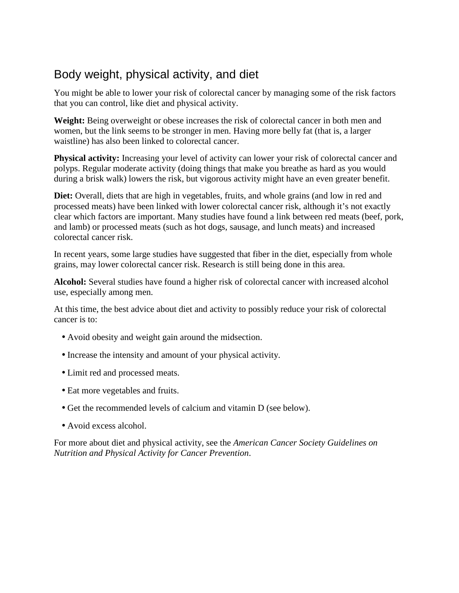## Body weight, physical activity, and diet

You might be able to lower your risk of colorectal cancer by managing some of the risk factors that you can control, like diet and physical activity.

**Weight:** Being overweight or obese increases the risk of colorectal cancer in both men and women, but the link seems to be stronger in men. Having more belly fat (that is, a larger waistline) has also been linked to colorectal cancer.

**Physical activity:** Increasing your level of activity can lower your risk of colorectal cancer and polyps. Regular moderate activity (doing things that make you breathe as hard as you would during a brisk walk) lowers the risk, but vigorous activity might have an even greater benefit.

**Diet:** Overall, diets that are high in vegetables, fruits, and whole grains (and low in red and processed meats) have been linked with lower colorectal cancer risk, although it's not exactly clear which factors are important. Many studies have found a link between red meats (beef, pork, and lamb) or processed meats (such as hot dogs, sausage, and lunch meats) and increased colorectal cancer risk.

In recent years, some large studies have suggested that fiber in the diet, especially from whole grains, may lower colorectal cancer risk. Research is still being done in this area.

**Alcohol:** Several studies have found a higher risk of colorectal cancer with increased alcohol use, especially among men.

At this time, the best advice about diet and activity to possibly reduce your risk of colorectal cancer is to:

- Avoid obesity and weight gain around the midsection.
- Increase the intensity and amount of your physical activity.
- Limit red and processed meats.
- Eat more vegetables and fruits.
- Get the recommended levels of calcium and vitamin D (see below).
- Avoid excess alcohol.

For more about diet and physical activity, see the *American Cancer Society Guidelines on Nutrition and Physical Activity for Cancer Prevention*.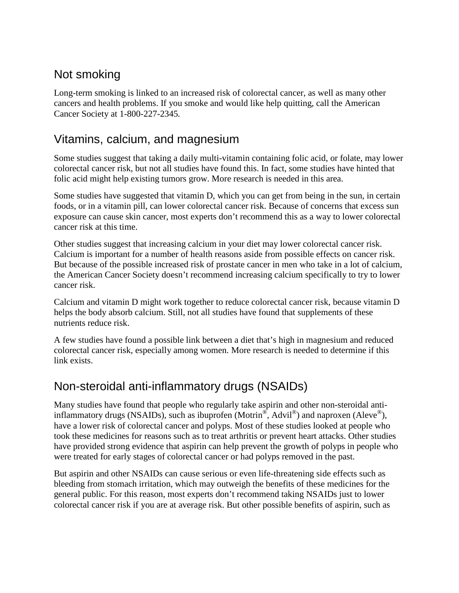## Not smoking

Long-term smoking is linked to an increased risk of colorectal cancer, as well as many other cancers and health problems. If you smoke and would like help quitting, call the American Cancer Society at 1-800-227-2345*.*

## Vitamins, calcium, and magnesium

Some studies suggest that taking a daily multi-vitamin containing folic acid, or folate, may lower colorectal cancer risk, but not all studies have found this. In fact, some studies have hinted that folic acid might help existing tumors grow. More research is needed in this area.

Some studies have suggested that vitamin D, which you can get from being in the sun, in certain foods, or in a vitamin pill, can lower colorectal cancer risk. Because of concerns that excess sun exposure can cause skin cancer, most experts don't recommend this as a way to lower colorectal cancer risk at this time.

Other studies suggest that increasing calcium in your diet may lower colorectal cancer risk. Calcium is important for a number of health reasons aside from possible effects on cancer risk. But because of the possible increased risk of prostate cancer in men who take in a lot of calcium, the American Cancer Society doesn't recommend increasing calcium specifically to try to lower cancer risk.

Calcium and vitamin D might work together to reduce colorectal cancer risk, because vitamin D helps the body absorb calcium. Still, not all studies have found that supplements of these nutrients reduce risk.

A few studies have found a possible link between a diet that's high in magnesium and reduced colorectal cancer risk, especially among women. More research is needed to determine if this link exists.

## Non-steroidal anti-inflammatory drugs (NSAIDs)

Many studies have found that people who regularly take aspirin and other non-steroidal antiinflammatory drugs (NSAIDs), such as ibuprofen (Motrin<sup>®</sup>, Advil<sup>®</sup>) and naproxen (Aleve<sup>®</sup>), have a lower risk of colorectal cancer and polyps. Most of these studies looked at people who took these medicines for reasons such as to treat arthritis or prevent heart attacks. Other studies have provided strong evidence that aspirin can help prevent the growth of polyps in people who were treated for early stages of colorectal cancer or had polyps removed in the past.

But aspirin and other NSAIDs can cause serious or even life-threatening side effects such as bleeding from stomach irritation, which may outweigh the benefits of these medicines for the general public. For this reason, most experts don't recommend taking NSAIDs just to lower colorectal cancer risk if you are at average risk. But other possible benefits of aspirin, such as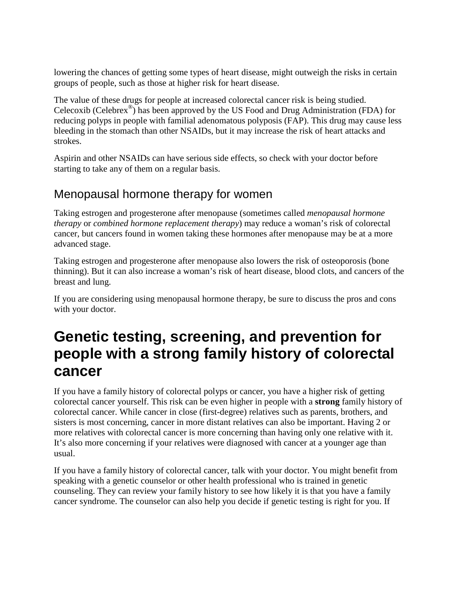lowering the chances of getting some types of heart disease, might outweigh the risks in certain groups of people, such as those at higher risk for heart disease.

The value of these drugs for people at increased colorectal cancer risk is being studied. Celecoxib (Celebrex® ) has been approved by the US Food and Drug Administration (FDA) for reducing polyps in people with familial adenomatous polyposis (FAP). This drug may cause less bleeding in the stomach than other NSAIDs, but it may increase the risk of heart attacks and strokes.

Aspirin and other NSAIDs can have serious side effects, so check with your doctor before starting to take any of them on a regular basis.

## Menopausal hormone therapy for women

Taking estrogen and progesterone after menopause (sometimes called *menopausal hormone therapy* or *combined hormone replacement therapy*) may reduce a woman's risk of colorectal cancer, but cancers found in women taking these hormones after menopause may be at a more advanced stage.

Taking estrogen and progesterone after menopause also lowers the risk of osteoporosis (bone thinning). But it can also increase a woman's risk of heart disease, blood clots, and cancers of the breast and lung.

If you are considering using menopausal hormone therapy, be sure to discuss the pros and cons with your doctor.

# **Genetic testing, screening, and prevention for people with a strong family history of colorectal cancer**

If you have a family history of colorectal polyps or cancer, you have a higher risk of getting colorectal cancer yourself. This risk can be even higher in people with a **strong** family history of colorectal cancer. While cancer in close (first-degree) relatives such as parents, brothers, and sisters is most concerning, cancer in more distant relatives can also be important. Having 2 or more relatives with colorectal cancer is more concerning than having only one relative with it. It's also more concerning if your relatives were diagnosed with cancer at a younger age than usual.

If you have a family history of colorectal cancer, talk with your doctor. You might benefit from speaking with a genetic counselor or other health professional who is trained in genetic counseling. They can review your family history to see how likely it is that you have a family cancer syndrome. The counselor can also help you decide if genetic testing is right for you. If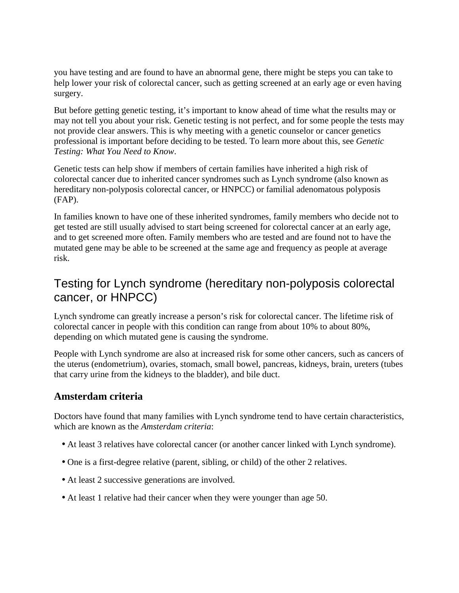you have testing and are found to have an abnormal gene, there might be steps you can take to help lower your risk of colorectal cancer, such as getting screened at an early age or even having surgery.

But before getting genetic testing, it's important to know ahead of time what the results may or may not tell you about your risk. Genetic testing is not perfect, and for some people the tests may not provide clear answers. This is why meeting with a genetic counselor or cancer genetics professional is important before deciding to be tested. To learn more about this, see *Genetic Testing: What You Need to Know*.

Genetic tests can help show if members of certain families have inherited a high risk of colorectal cancer due to inherited cancer syndromes such as Lynch syndrome (also known as hereditary non-polyposis colorectal cancer, or HNPCC) or familial adenomatous polyposis (FAP).

In families known to have one of these inherited syndromes, family members who decide not to get tested are still usually advised to start being screened for colorectal cancer at an early age, and to get screened more often. Family members who are tested and are found not to have the mutated gene may be able to be screened at the same age and frequency as people at average risk.

## Testing for Lynch syndrome (hereditary non-polyposis colorectal cancer, or HNPCC)

Lynch syndrome can greatly increase a person's risk for colorectal cancer. The lifetime risk of colorectal cancer in people with this condition can range from about 10% to about 80%, depending on which mutated gene is causing the syndrome.

People with Lynch syndrome are also at increased risk for some other cancers, such as cancers of the uterus (endometrium), ovaries, stomach, small bowel, pancreas, kidneys, brain, ureters (tubes that carry urine from the kidneys to the bladder), and bile duct.

#### **Amsterdam criteria**

Doctors have found that many families with Lynch syndrome tend to have certain characteristics, which are known as the *Amsterdam criteria*:

- At least 3 relatives have colorectal cancer (or another cancer linked with Lynch syndrome).
- One is a first-degree relative (parent, sibling, or child) of the other 2 relatives.
- At least 2 successive generations are involved.
- At least 1 relative had their cancer when they were younger than age 50.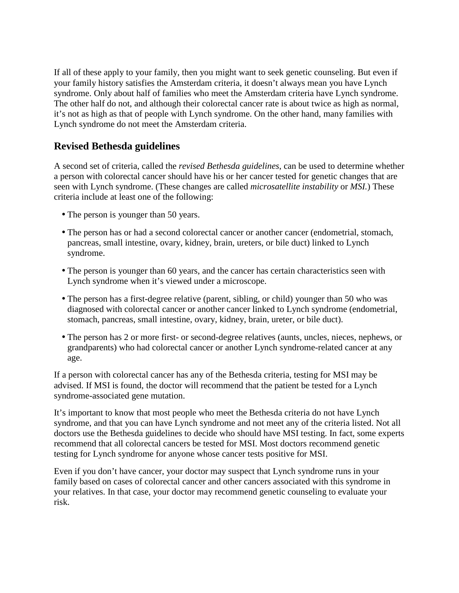If all of these apply to your family, then you might want to seek genetic counseling. But even if your family history satisfies the Amsterdam criteria, it doesn't always mean you have Lynch syndrome. Only about half of families who meet the Amsterdam criteria have Lynch syndrome. The other half do not, and although their colorectal cancer rate is about twice as high as normal, it's not as high as that of people with Lynch syndrome. On the other hand, many families with Lynch syndrome do not meet the Amsterdam criteria.

## **Revised Bethesda guidelines**

A second set of criteria, called the *revised Bethesda guidelines*, can be used to determine whether a person with colorectal cancer should have his or her cancer tested for genetic changes that are seen with Lynch syndrome. (These changes are called *microsatellite instability* or *MSI.*) These criteria include at least one of the following:

- The person is younger than 50 years.
- The person has or had a second colorectal cancer or another cancer (endometrial, stomach, pancreas, small intestine, ovary, kidney, brain, ureters, or bile duct) linked to Lynch syndrome.
- The person is younger than 60 years, and the cancer has certain characteristics seen with Lynch syndrome when it's viewed under a microscope.
- The person has a first-degree relative (parent, sibling, or child) younger than 50 who was diagnosed with colorectal cancer or another cancer linked to Lynch syndrome (endometrial, stomach, pancreas, small intestine, ovary, kidney, brain, ureter, or bile duct).
- The person has 2 or more first- or second-degree relatives (aunts, uncles, nieces, nephews, or grandparents) who had colorectal cancer or another Lynch syndrome-related cancer at any age.

If a person with colorectal cancer has any of the Bethesda criteria, testing for MSI may be advised. If MSI is found, the doctor will recommend that the patient be tested for a Lynch syndrome-associated gene mutation.

It's important to know that most people who meet the Bethesda criteria do not have Lynch syndrome, and that you can have Lynch syndrome and not meet any of the criteria listed. Not all doctors use the Bethesda guidelines to decide who should have MSI testing. In fact, some experts recommend that all colorectal cancers be tested for MSI. Most doctors recommend genetic testing for Lynch syndrome for anyone whose cancer tests positive for MSI.

Even if you don't have cancer, your doctor may suspect that Lynch syndrome runs in your family based on cases of colorectal cancer and other cancers associated with this syndrome in your relatives. In that case, your doctor may recommend genetic counseling to evaluate your risk.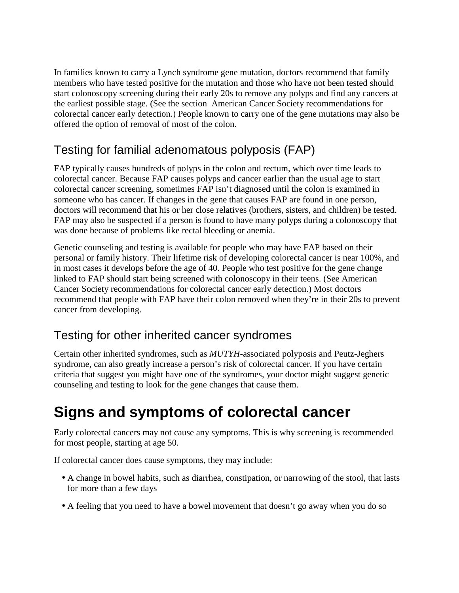In families known to carry a Lynch syndrome gene mutation, doctors recommend that family members who have tested positive for the mutation and those who have not been tested should start colonoscopy screening during their early 20s to remove any polyps and find any cancers at the earliest possible stage. (See the section American Cancer Society recommendations for colorectal cancer early detection.) People known to carry one of the gene mutations may also be offered the option of removal of most of the colon.

## Testing for familial adenomatous polyposis (FAP)

FAP typically causes hundreds of polyps in the colon and rectum, which over time leads to colorectal cancer. Because FAP causes polyps and cancer earlier than the usual age to start colorectal cancer screening, sometimes FAP isn't diagnosed until the colon is examined in someone who has cancer. If changes in the gene that causes FAP are found in one person, doctors will recommend that his or her close relatives (brothers, sisters, and children) be tested. FAP may also be suspected if a person is found to have many polyps during a colonoscopy that was done because of problems like rectal bleeding or anemia.

Genetic counseling and testing is available for people who may have FAP based on their personal or family history. Their lifetime risk of developing colorectal cancer is near 100%, and in most cases it develops before the age of 40. People who test positive for the gene change linked to FAP should start being screened with colonoscopy in their teens. (See American Cancer Society recommendations for colorectal cancer early detection.) Most doctors recommend that people with FAP have their colon removed when they're in their 20s to prevent cancer from developing.

## Testing for other inherited cancer syndromes

Certain other inherited syndromes, such as *MUTYH*-associated polyposis and Peutz-Jeghers syndrome, can also greatly increase a person's risk of colorectal cancer. If you have certain criteria that suggest you might have one of the syndromes, your doctor might suggest genetic counseling and testing to look for the gene changes that cause them.

# **Signs and symptoms of colorectal cancer**

Early colorectal cancers may not cause any symptoms. This is why screening is recommended for most people, starting at age 50.

If colorectal cancer does cause symptoms, they may include:

- A change in bowel habits, such as diarrhea, constipation, or narrowing of the stool, that lasts for more than a few days
- A feeling that you need to have a bowel movement that doesn't go away when you do so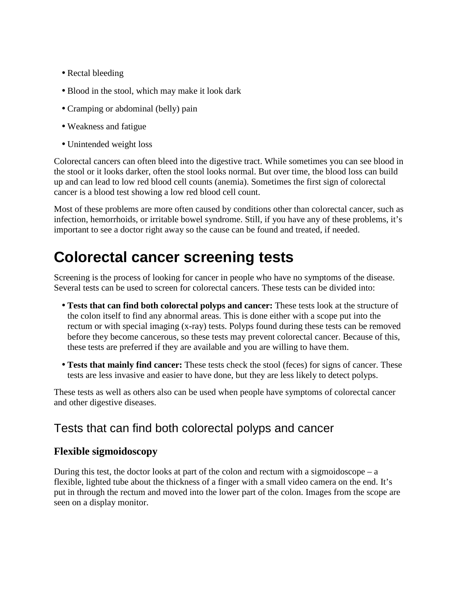- Rectal bleeding
- Blood in the stool, which may make it look dark
- Cramping or abdominal (belly) pain
- Weakness and fatigue
- Unintended weight loss

Colorectal cancers can often bleed into the digestive tract. While sometimes you can see blood in the stool or it looks darker, often the stool looks normal. But over time, the blood loss can build up and can lead to low red blood cell counts (anemia). Sometimes the first sign of colorectal cancer is a blood test showing a low red blood cell count.

Most of these problems are more often caused by conditions other than colorectal cancer, such as infection, hemorrhoids, or irritable bowel syndrome. Still, if you have any of these problems, it's important to see a doctor right away so the cause can be found and treated, if needed.

# **Colorectal cancer screening tests**

Screening is the process of looking for cancer in people who have no symptoms of the disease. Several tests can be used to screen for colorectal cancers. These tests can be divided into:

- **Tests that can find both colorectal polyps and cancer:** These tests look at the structure of the colon itself to find any abnormal areas. This is done either with a scope put into the rectum or with special imaging (x-ray) tests. Polyps found during these tests can be removed before they become cancerous, so these tests may prevent colorectal cancer. Because of this, these tests are preferred if they are available and you are willing to have them.
- **Tests that mainly find cancer:** These tests check the stool (feces) for signs of cancer. These tests are less invasive and easier to have done, but they are less likely to detect polyps.

These tests as well as others also can be used when people have symptoms of colorectal cancer and other digestive diseases.

## Tests that can find both colorectal polyps and cancer

### **Flexible sigmoidoscopy**

During this test, the doctor looks at part of the colon and rectum with a sigmoidoscope – a flexible, lighted tube about the thickness of a finger with a small video camera on the end. It's put in through the rectum and moved into the lower part of the colon. Images from the scope are seen on a display monitor.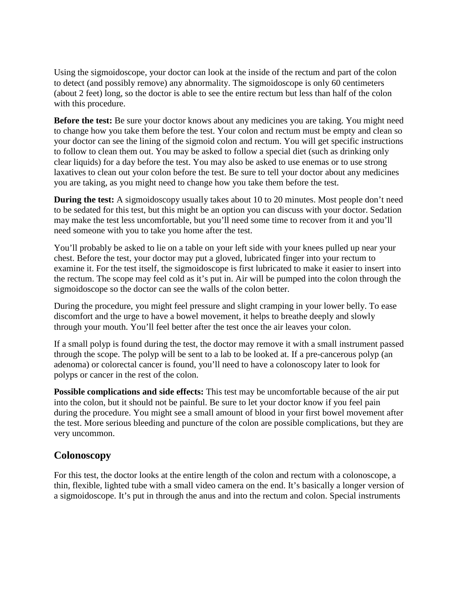Using the sigmoidoscope, your doctor can look at the inside of the rectum and part of the colon to detect (and possibly remove) any abnormality. The sigmoidoscope is only 60 centimeters (about 2 feet) long, so the doctor is able to see the entire rectum but less than half of the colon with this procedure.

**Before the test:** Be sure your doctor knows about any medicines you are taking. You might need to change how you take them before the test. Your colon and rectum must be empty and clean so your doctor can see the lining of the sigmoid colon and rectum. You will get specific instructions to follow to clean them out. You may be asked to follow a special diet (such as drinking only clear liquids) for a day before the test. You may also be asked to use enemas or to use strong laxatives to clean out your colon before the test. Be sure to tell your doctor about any medicines you are taking, as you might need to change how you take them before the test.

**During the test:** A sigmoidoscopy usually takes about 10 to 20 minutes. Most people don't need to be sedated for this test, but this might be an option you can discuss with your doctor. Sedation may make the test less uncomfortable, but you'll need some time to recover from it and you'll need someone with you to take you home after the test.

You'll probably be asked to lie on a table on your left side with your knees pulled up near your chest. Before the test, your doctor may put a gloved, lubricated finger into your rectum to examine it. For the test itself, the sigmoidoscope is first lubricated to make it easier to insert into the rectum. The scope may feel cold as it's put in. Air will be pumped into the colon through the sigmoidoscope so the doctor can see the walls of the colon better.

During the procedure, you might feel pressure and slight cramping in your lower belly. To ease discomfort and the urge to have a bowel movement, it helps to breathe deeply and slowly through your mouth. You'll feel better after the test once the air leaves your colon.

If a small polyp is found during the test, the doctor may remove it with a small instrument passed through the scope. The polyp will be sent to a lab to be looked at. If a pre-cancerous polyp (an adenoma) or colorectal cancer is found, you'll need to have a colonoscopy later to look for polyps or cancer in the rest of the colon.

**Possible complications and side effects:** This test may be uncomfortable because of the air put into the colon, but it should not be painful. Be sure to let your doctor know if you feel pain during the procedure. You might see a small amount of blood in your first bowel movement after the test. More serious bleeding and puncture of the colon are possible complications, but they are very uncommon.

#### **Colonoscopy**

For this test, the doctor looks at the entire length of the colon and rectum with a colonoscope, a thin, flexible, lighted tube with a small video camera on the end. It's basically a longer version of a sigmoidoscope. It's put in through the anus and into the rectum and colon. Special instruments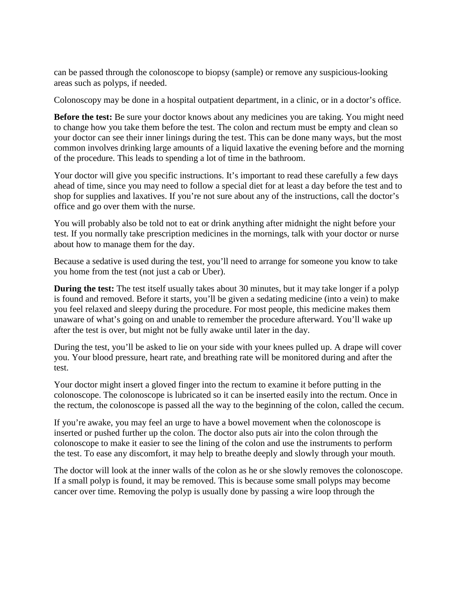can be passed through the colonoscope to biopsy (sample) or remove any suspicious-looking areas such as polyps, if needed.

Colonoscopy may be done in a hospital outpatient department, in a clinic, or in a doctor's office.

**Before the test:** Be sure your doctor knows about any medicines you are taking. You might need to change how you take them before the test. The colon and rectum must be empty and clean so your doctor can see their inner linings during the test. This can be done many ways, but the most common involves drinking large amounts of a liquid laxative the evening before and the morning of the procedure. This leads to spending a lot of time in the bathroom.

Your doctor will give you specific instructions. It's important to read these carefully a few days ahead of time, since you may need to follow a special diet for at least a day before the test and to shop for supplies and laxatives. If you're not sure about any of the instructions, call the doctor's office and go over them with the nurse.

You will probably also be told not to eat or drink anything after midnight the night before your test. If you normally take prescription medicines in the mornings, talk with your doctor or nurse about how to manage them for the day.

Because a sedative is used during the test, you'll need to arrange for someone you know to take you home from the test (not just a cab or Uber).

**During the test:** The test itself usually takes about 30 minutes, but it may take longer if a polyp is found and removed. Before it starts, you'll be given a sedating medicine (into a vein) to make you feel relaxed and sleepy during the procedure. For most people, this medicine makes them unaware of what's going on and unable to remember the procedure afterward. You'll wake up after the test is over, but might not be fully awake until later in the day.

During the test, you'll be asked to lie on your side with your knees pulled up. A drape will cover you. Your blood pressure, heart rate, and breathing rate will be monitored during and after the test.

Your doctor might insert a gloved finger into the rectum to examine it before putting in the colonoscope. The colonoscope is lubricated so it can be inserted easily into the rectum. Once in the rectum, the colonoscope is passed all the way to the beginning of the colon, called the cecum.

If you're awake, you may feel an urge to have a bowel movement when the colonoscope is inserted or pushed further up the colon. The doctor also puts air into the colon through the colonoscope to make it easier to see the lining of the colon and use the instruments to perform the test. To ease any discomfort, it may help to breathe deeply and slowly through your mouth.

The doctor will look at the inner walls of the colon as he or she slowly removes the colonoscope. If a small polyp is found, it may be removed. This is because some small polyps may become cancer over time. Removing the polyp is usually done by passing a wire loop through the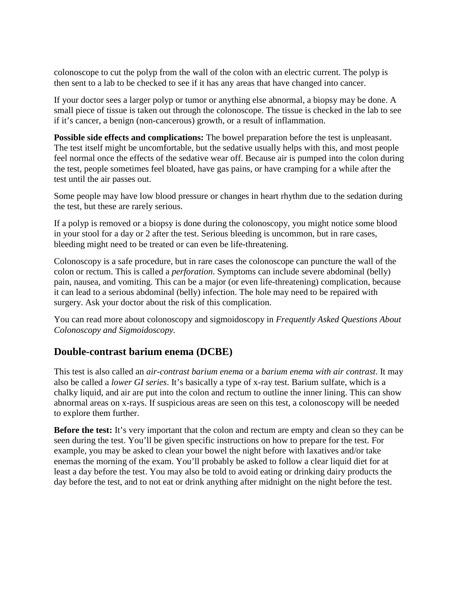colonoscope to cut the polyp from the wall of the colon with an electric current. The polyp is then sent to a lab to be checked to see if it has any areas that have changed into cancer.

If your doctor sees a larger polyp or tumor or anything else abnormal, a biopsy may be done. A small piece of tissue is taken out through the colonoscope. The tissue is checked in the lab to see if it's cancer, a benign (non-cancerous) growth, or a result of inflammation.

**Possible side effects and complications:** The bowel preparation before the test is unpleasant. The test itself might be uncomfortable, but the sedative usually helps with this, and most people feel normal once the effects of the sedative wear off. Because air is pumped into the colon during the test, people sometimes feel bloated, have gas pains, or have cramping for a while after the test until the air passes out.

Some people may have low blood pressure or changes in heart rhythm due to the sedation during the test, but these are rarely serious.

If a polyp is removed or a biopsy is done during the colonoscopy, you might notice some blood in your stool for a day or 2 after the test. Serious bleeding is uncommon, but in rare cases, bleeding might need to be treated or can even be life-threatening.

Colonoscopy is a safe procedure, but in rare cases the colonoscope can puncture the wall of the colon or rectum. This is called a *perforation*. Symptoms can include severe abdominal (belly) pain, nausea, and vomiting. This can be a major (or even life-threatening) complication, because it can lead to a serious abdominal (belly) infection. The hole may need to be repaired with surgery. Ask your doctor about the risk of this complication.

You can read more about colonoscopy and sigmoidoscopy in *Frequently Asked Questions About Colonoscopy and Sigmoidoscopy.*

### **Double-contrast barium enema (DCBE)**

This test is also called an *air-contrast barium enema* or a *barium enema with air contrast*. It may also be called a *lower GI series*. It's basically a type of x-ray test. Barium sulfate, which is a chalky liquid, and air are put into the colon and rectum to outline the inner lining. This can show abnormal areas on x-rays. If suspicious areas are seen on this test, a colonoscopy will be needed to explore them further.

**Before the test:** It's very important that the colon and rectum are empty and clean so they can be seen during the test. You'll be given specific instructions on how to prepare for the test. For example, you may be asked to clean your bowel the night before with laxatives and/or take enemas the morning of the exam. You'll probably be asked to follow a clear liquid diet for at least a day before the test. You may also be told to avoid eating or drinking dairy products the day before the test, and to not eat or drink anything after midnight on the night before the test.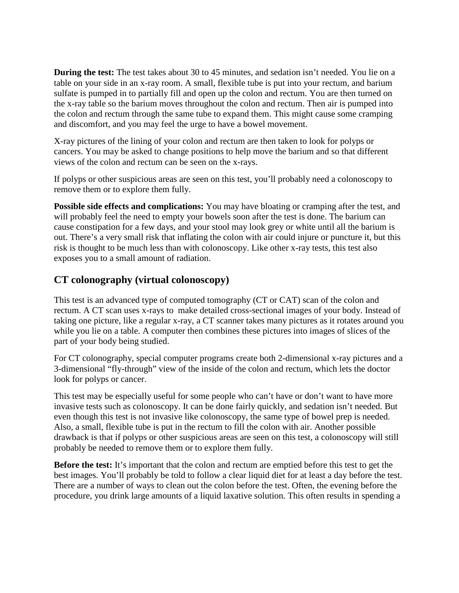**During the test:** The test takes about 30 to 45 minutes, and sedation isn't needed. You lie on a table on your side in an x-ray room. A small, flexible tube is put into your rectum, and barium sulfate is pumped in to partially fill and open up the colon and rectum. You are then turned on the x-ray table so the barium moves throughout the colon and rectum. Then air is pumped into the colon and rectum through the same tube to expand them. This might cause some cramping and discomfort, and you may feel the urge to have a bowel movement.

X-ray pictures of the lining of your colon and rectum are then taken to look for polyps or cancers. You may be asked to change positions to help move the barium and so that different views of the colon and rectum can be seen on the x-rays.

If polyps or other suspicious areas are seen on this test, you'll probably need a colonoscopy to remove them or to explore them fully.

**Possible side effects and complications:** You may have bloating or cramping after the test, and will probably feel the need to empty your bowels soon after the test is done. The barium can cause constipation for a few days, and your stool may look grey or white until all the barium is out. There's a very small risk that inflating the colon with air could injure or puncture it, but this risk is thought to be much less than with colonoscopy. Like other x-ray tests, this test also exposes you to a small amount of radiation.

## **CT colonography (virtual colonoscopy)**

This test is an advanced type of computed tomography (CT or CAT) scan of the colon and rectum. A CT scan uses x-rays to make detailed cross-sectional images of your body. Instead of taking one picture, like a regular x-ray, a CT scanner takes many pictures as it rotates around you while you lie on a table. A computer then combines these pictures into images of slices of the part of your body being studied.

For CT colonography, special computer programs create both 2-dimensional x-ray pictures and a 3-dimensional "fly-through" view of the inside of the colon and rectum, which lets the doctor look for polyps or cancer.

This test may be especially useful for some people who can't have or don't want to have more invasive tests such as colonoscopy. It can be done fairly quickly, and sedation isn't needed. But even though this test is not invasive like colonoscopy, the same type of bowel prep is needed. Also, a small, flexible tube is put in the rectum to fill the colon with air. Another possible drawback is that if polyps or other suspicious areas are seen on this test, a colonoscopy will still probably be needed to remove them or to explore them fully.

**Before the test:** It's important that the colon and rectum are emptied before this test to get the best images. You'll probably be told to follow a clear liquid diet for at least a day before the test. There are a number of ways to clean out the colon before the test. Often, the evening before the procedure, you drink large amounts of a liquid laxative solution. This often results in spending a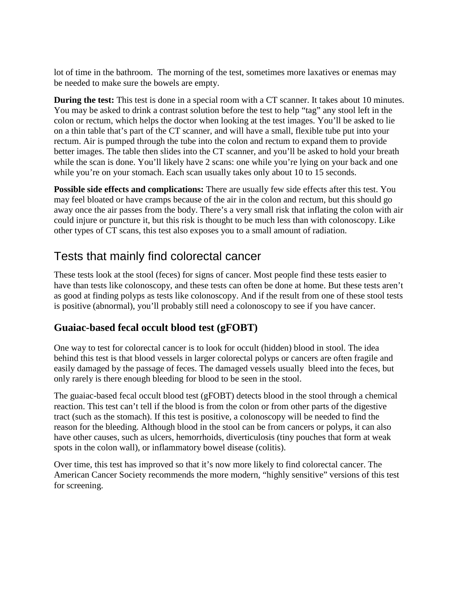lot of time in the bathroom. The morning of the test, sometimes more laxatives or enemas may be needed to make sure the bowels are empty.

**During the test:** This test is done in a special room with a CT scanner. It takes about 10 minutes. You may be asked to drink a contrast solution before the test to help "tag" any stool left in the colon or rectum, which helps the doctor when looking at the test images. You'll be asked to lie on a thin table that's part of the CT scanner, and will have a small, flexible tube put into your rectum. Air is pumped through the tube into the colon and rectum to expand them to provide better images. The table then slides into the CT scanner, and you'll be asked to hold your breath while the scan is done. You'll likely have 2 scans: one while you're lying on your back and one while you're on your stomach. Each scan usually takes only about 10 to 15 seconds.

**Possible side effects and complications:** There are usually few side effects after this test. You may feel bloated or have cramps because of the air in the colon and rectum, but this should go away once the air passes from the body. There's a very small risk that inflating the colon with air could injure or puncture it, but this risk is thought to be much less than with colonoscopy. Like other types of CT scans, this test also exposes you to a small amount of radiation.

## Tests that mainly find colorectal cancer

These tests look at the stool (feces) for signs of cancer. Most people find these tests easier to have than tests like colonoscopy, and these tests can often be done at home. But these tests aren't as good at finding polyps as tests like colonoscopy. And if the result from one of these stool tests is positive (abnormal), you'll probably still need a colonoscopy to see if you have cancer.

## **Guaiac-based fecal occult blood test (gFOBT)**

One way to test for colorectal cancer is to look for occult (hidden) blood in stool. The idea behind this test is that blood vessels in larger colorectal polyps or cancers are often fragile and easily damaged by the passage of feces. The damaged vessels usually bleed into the feces, but only rarely is there enough bleeding for blood to be seen in the stool.

The guaiac-based fecal occult blood test (gFOBT) detects blood in the stool through a chemical reaction. This test can't tell if the blood is from the colon or from other parts of the digestive tract (such as the stomach). If this test is positive, a colonoscopy will be needed to find the reason for the bleeding. Although blood in the stool can be from cancers or polyps, it can also have other causes, such as ulcers, hemorrhoids, diverticulosis (tiny pouches that form at weak spots in the colon wall), or inflammatory bowel disease (colitis).

Over time, this test has improved so that it's now more likely to find colorectal cancer. The American Cancer Society recommends the more modern, "highly sensitive" versions of this test for screening.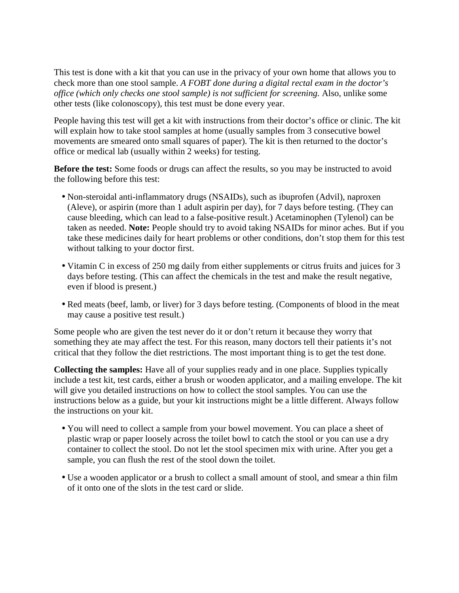This test is done with a kit that you can use in the privacy of your own home that allows you to check more than one stool sample. *A FOBT done during a digital rectal exam in the doctor's office (which only checks one stool sample) is not sufficient for screening.* Also, unlike some other tests (like colonoscopy)*,* this test must be done every year.

People having this test will get a kit with instructions from their doctor's office or clinic. The kit will explain how to take stool samples at home (usually samples from 3 consecutive bowel movements are smeared onto small squares of paper). The kit is then returned to the doctor's office or medical lab (usually within 2 weeks) for testing.

**Before the test:** Some foods or drugs can affect the results, so you may be instructed to avoid the following before this test:

- Non-steroidal anti-inflammatory drugs (NSAIDs), such as ibuprofen (Advil), naproxen (Aleve), or aspirin (more than 1 adult aspirin per day), for 7 days before testing. (They can cause bleeding, which can lead to a false-positive result.) Acetaminophen (Tylenol) can be taken as needed. **Note:** People should try to avoid taking NSAIDs for minor aches. But if you take these medicines daily for heart problems or other conditions, don't stop them for this test without talking to your doctor first.
- Vitamin C in excess of 250 mg daily from either supplements or citrus fruits and juices for 3 days before testing. (This can affect the chemicals in the test and make the result negative, even if blood is present.)
- Red meats (beef, lamb, or liver) for 3 days before testing. (Components of blood in the meat may cause a positive test result.)

Some people who are given the test never do it or don't return it because they worry that something they ate may affect the test. For this reason, many doctors tell their patients it's not critical that they follow the diet restrictions. The most important thing is to get the test done.

**Collecting the samples:** Have all of your supplies ready and in one place. Supplies typically include a test kit, test cards, either a brush or wooden applicator, and a mailing envelope. The kit will give you detailed instructions on how to collect the stool samples. You can use the instructions below as a guide, but your kit instructions might be a little different. Always follow the instructions on your kit.

- You will need to collect a sample from your bowel movement. You can place a sheet of plastic wrap or paper loosely across the toilet bowl to catch the stool or you can use a dry container to collect the stool. Do not let the stool specimen mix with urine. After you get a sample, you can flush the rest of the stool down the toilet.
- Use a wooden applicator or a brush to collect a small amount of stool, and smear a thin film of it onto one of the slots in the test card or slide.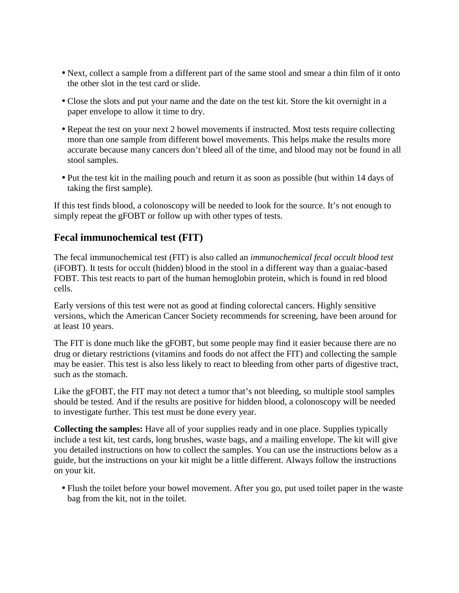- Next, collect a sample from a different part of the same stool and smear a thin film of it onto the other slot in the test card or slide.
- Close the slots and put your name and the date on the test kit. Store the kit overnight in a paper envelope to allow it time to dry.
- Repeat the test on your next 2 bowel movements if instructed. Most tests require collecting more than one sample from different bowel movements. This helps make the results more accurate because many cancers don't bleed all of the time, and blood may not be found in all stool samples.
- Put the test kit in the mailing pouch and return it as soon as possible (but within 14 days of taking the first sample).

If this test finds blood, a colonoscopy will be needed to look for the source. It's not enough to simply repeat the gFOBT or follow up with other types of tests.

#### **Fecal immunochemical test (FIT)**

The fecal immunochemical test (FIT) is also called an *immunochemical fecal occult blood test* (iFOBT). It tests for occult (hidden) blood in the stool in a different way than a guaiac-based FOBT. This test reacts to part of the human hemoglobin protein, which is found in red blood cells.

Early versions of this test were not as good at finding colorectal cancers. Highly sensitive versions, which the American Cancer Society recommends for screening, have been around for at least 10 years.

The FIT is done much like the gFOBT, but some people may find it easier because there are no drug or dietary restrictions (vitamins and foods do not affect the FIT) and collecting the sample may be easier. This test is also less likely to react to bleeding from other parts of digestive tract, such as the stomach.

Like the gFOBT, the FIT may not detect a tumor that's not bleeding, so multiple stool samples should be tested. And if the results are positive for hidden blood, a colonoscopy will be needed to investigate further. This test must be done every year.

**Collecting the samples:** Have all of your supplies ready and in one place. Supplies typically include a test kit, test cards, long brushes, waste bags, and a mailing envelope. The kit will give you detailed instructions on how to collect the samples. You can use the instructions below as a guide, but the instructions on your kit might be a little different. Always follow the instructions on your kit.

• Flush the toilet before your bowel movement. After you go, put used toilet paper in the waste bag from the kit, not in the toilet.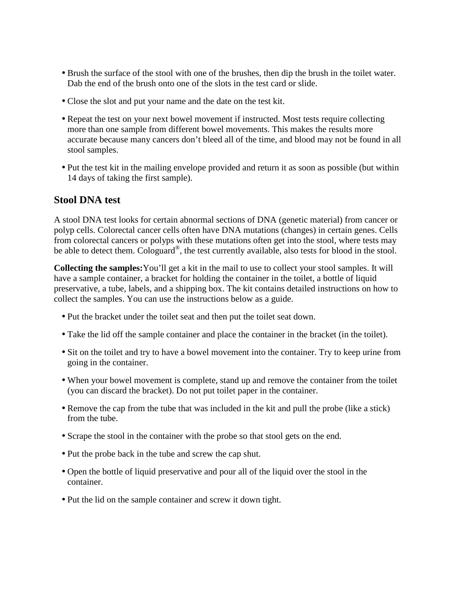- Brush the surface of the stool with one of the brushes, then dip the brush in the toilet water. Dab the end of the brush onto one of the slots in the test card or slide.
- Close the slot and put your name and the date on the test kit.
- Repeat the test on your next bowel movement if instructed. Most tests require collecting more than one sample from different bowel movements. This makes the results more accurate because many cancers don't bleed all of the time, and blood may not be found in all stool samples.
- Put the test kit in the mailing envelope provided and return it as soon as possible (but within 14 days of taking the first sample).

#### **Stool DNA test**

A stool DNA test looks for certain abnormal sections of DNA (genetic material) from cancer or polyp cells. Colorectal cancer cells often have DNA mutations (changes) in certain genes. Cells from colorectal cancers or polyps with these mutations often get into the stool, where tests may be able to detect them. Cologuard<sup>®</sup>, the test currently available, also tests for blood in the stool.

**Collecting the samples:**You'll get a kit in the mail to use to collect your stool samples. It will have a sample container, a bracket for holding the container in the toilet, a bottle of liquid preservative, a tube, labels, and a shipping box. The kit contains detailed instructions on how to collect the samples. You can use the instructions below as a guide.

- Put the bracket under the toilet seat and then put the toilet seat down.
- Take the lid off the sample container and place the container in the bracket (in the toilet).
- Sit on the toilet and try to have a bowel movement into the container. Try to keep urine from going in the container.
- When your bowel movement is complete, stand up and remove the container from the toilet (you can discard the bracket). Do not put toilet paper in the container.
- Remove the cap from the tube that was included in the kit and pull the probe (like a stick) from the tube.
- Scrape the stool in the container with the probe so that stool gets on the end.
- Put the probe back in the tube and screw the cap shut.
- Open the bottle of liquid preservative and pour all of the liquid over the stool in the container.
- Put the lid on the sample container and screw it down tight.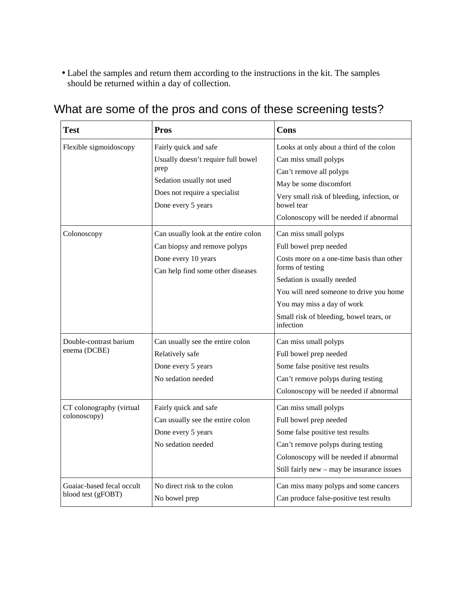• Label the samples and return them according to the instructions in the kit. The samples should be returned within a day of collection.

| <b>Test</b>                                     | <b>Pros</b>                                                                                                                                             | Cons                                                                                                                                                                                                                                                                            |
|-------------------------------------------------|---------------------------------------------------------------------------------------------------------------------------------------------------------|---------------------------------------------------------------------------------------------------------------------------------------------------------------------------------------------------------------------------------------------------------------------------------|
| Flexible sigmoidoscopy                          | Fairly quick and safe<br>Usually doesn't require full bowel<br>prep<br>Sedation usually not used<br>Does not require a specialist<br>Done every 5 years | Looks at only about a third of the colon<br>Can miss small polyps<br>Can't remove all polyps<br>May be some discomfort<br>Very small risk of bleeding, infection, or<br>bowel tear<br>Colonoscopy will be needed if abnormal                                                    |
| Colonoscopy                                     | Can usually look at the entire colon<br>Can biopsy and remove polyps<br>Done every 10 years<br>Can help find some other diseases                        | Can miss small polyps<br>Full bowel prep needed<br>Costs more on a one-time basis than other<br>forms of testing<br>Sedation is usually needed<br>You will need someone to drive you home<br>You may miss a day of work<br>Small risk of bleeding, bowel tears, or<br>infection |
| Double-contrast barium<br>enema (DCBE)          | Can usually see the entire colon<br>Relatively safe<br>Done every 5 years<br>No sedation needed                                                         | Can miss small polyps<br>Full bowel prep needed<br>Some false positive test results<br>Can't remove polyps during testing<br>Colonoscopy will be needed if abnormal                                                                                                             |
| CT colonography (virtual<br>colonoscopy)        | Fairly quick and safe<br>Can usually see the entire colon<br>Done every 5 years<br>No sedation needed                                                   | Can miss small polyps<br>Full bowel prep needed<br>Some false positive test results<br>Can't remove polyps during testing<br>Colonoscopy will be needed if abnormal<br>Still fairly new - may be insurance issues                                                               |
| Guaiac-based fecal occult<br>blood test (gFOBT) | No direct risk to the colon<br>No bowel prep                                                                                                            | Can miss many polyps and some cancers<br>Can produce false-positive test results                                                                                                                                                                                                |

# What are some of the pros and cons of these screening tests?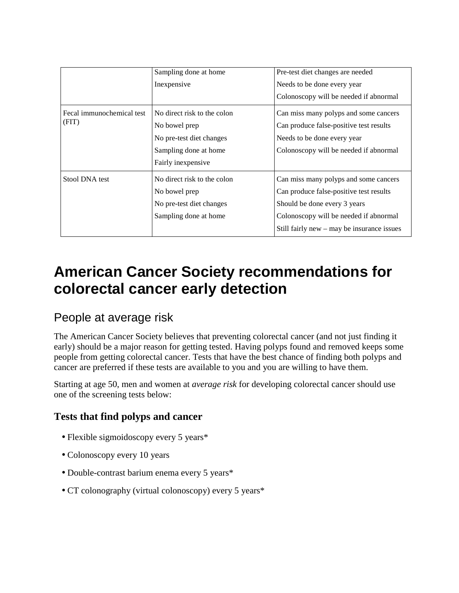|                                    | Sampling done at home       | Pre-test diet changes are needed             |  |
|------------------------------------|-----------------------------|----------------------------------------------|--|
|                                    | Inexpensive                 | Needs to be done every year                  |  |
|                                    |                             | Colonoscopy will be needed if abnormal       |  |
| Fecal immunochemical test<br>(FIT) | No direct risk to the colon | Can miss many polyps and some cancers        |  |
|                                    | No bowel prep               | Can produce false-positive test results      |  |
|                                    | No pre-test diet changes    | Needs to be done every year                  |  |
|                                    | Sampling done at home       | Colonoscopy will be needed if abnormal       |  |
|                                    | Fairly inexpensive          |                                              |  |
| Stool DNA test                     | No direct risk to the colon | Can miss many polyps and some cancers        |  |
|                                    | No bowel prep               | Can produce false-positive test results      |  |
|                                    | No pre-test diet changes    | Should be done every 3 years                 |  |
|                                    | Sampling done at home       | Colonoscopy will be needed if abnormal       |  |
|                                    |                             | Still fairly new $-$ may be insurance issues |  |

# **American Cancer Society recommendations for colorectal cancer early detection**

## People at average risk

The American Cancer Society believes that preventing colorectal cancer (and not just finding it early) should be a major reason for getting tested. Having polyps found and removed keeps some people from getting colorectal cancer. Tests that have the best chance of finding both polyps and cancer are preferred if these tests are available to you and you are willing to have them.

Starting at age 50, men and women at *average risk* for developing colorectal cancer should use one of the screening tests below:

## **Tests that find polyps and cancer**

- Flexible sigmoidoscopy every 5 years\*
- Colonoscopy every 10 years
- Double-contrast barium enema every 5 years\*
- CT colonography (virtual colonoscopy) every 5 years\*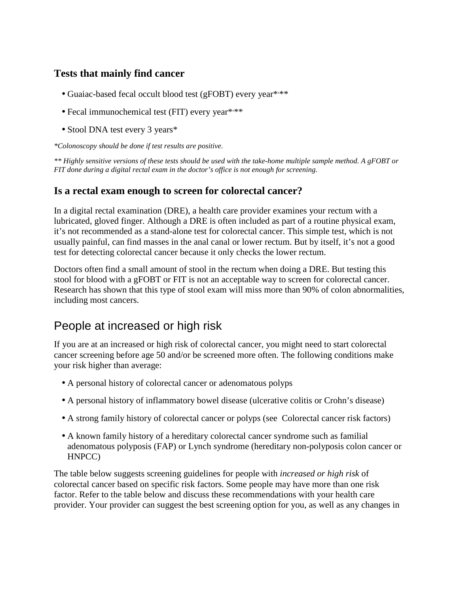## **Tests that mainly find cancer**

- Guaiac-based fecal occult blood test (gFOBT) every year\*\*\*\*
- Fecal immunochemical test (FIT) every year\*\*\*\*
- Stool DNA test every 3 years\*

*\*Colonoscopy should be done if test results are positive.* 

*\*\* Highly sensitive versions of these tests should be used with the take-home multiple sample method. A gFOBT or FIT done during a digital rectal exam in the doctor's office is not enough for screening.* 

## **Is a rectal exam enough to screen for colorectal cancer?**

In a digital rectal examination (DRE), a health care provider examines your rectum with a lubricated, gloved finger. Although a DRE is often included as part of a routine physical exam, it's not recommended as a stand-alone test for colorectal cancer. This simple test, which is not usually painful, can find masses in the anal canal or lower rectum. But by itself, it's not a good test for detecting colorectal cancer because it only checks the lower rectum.

Doctors often find a small amount of stool in the rectum when doing a DRE. But testing this stool for blood with a gFOBT or FIT is not an acceptable way to screen for colorectal cancer. Research has shown that this type of stool exam will miss more than 90% of colon abnormalities, including most cancers.

## People at increased or high risk

If you are at an increased or high risk of colorectal cancer, you might need to start colorectal cancer screening before age 50 and/or be screened more often. The following conditions make your risk higher than average:

- A personal history of colorectal cancer or adenomatous polyps
- A personal history of inflammatory bowel disease (ulcerative colitis or Crohn's disease)
- A strong family history of colorectal cancer or polyps (see Colorectal cancer risk factors)
- A known family history of a hereditary colorectal cancer syndrome such as familial adenomatous polyposis (FAP) or Lynch syndrome (hereditary non-polyposis colon cancer or HNPCC)

The table below suggests screening guidelines for people with *increased or high risk* of colorectal cancer based on specific risk factors. Some people may have more than one risk factor. Refer to the table below and discuss these recommendations with your health care provider. Your provider can suggest the best screening option for you, as well as any changes in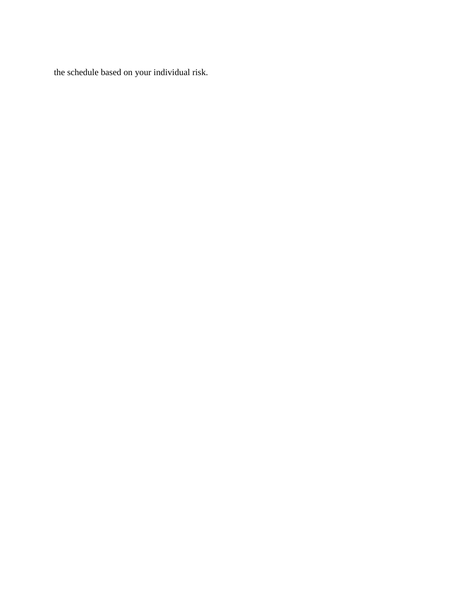the schedule based on your individual risk.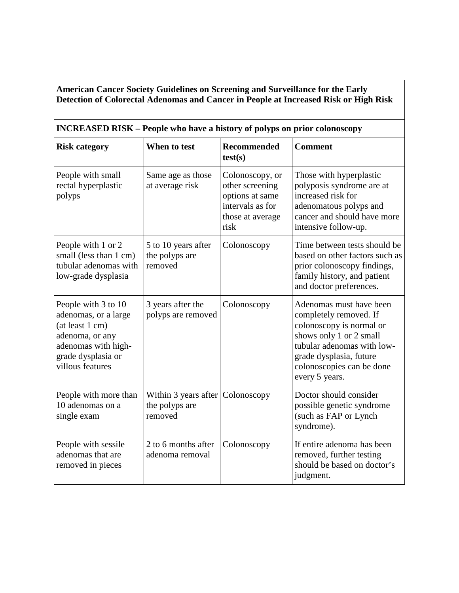#### **American Cancer Society Guidelines on Screening and Surveillance for the Early Detection of Colorectal Adenomas and Cancer in People at Increased Risk or High Risk**

#### **INCREASED RISK – People who have a history of polyps on prior colonoscopy**

| <b>Risk category</b>                                                                                                                               | When to test                                                  | <b>Recommended</b><br>test(s)                                                                         | <b>Comment</b>                                                                                                                                                                                                   |
|----------------------------------------------------------------------------------------------------------------------------------------------------|---------------------------------------------------------------|-------------------------------------------------------------------------------------------------------|------------------------------------------------------------------------------------------------------------------------------------------------------------------------------------------------------------------|
| People with small<br>rectal hyperplastic<br>polyps                                                                                                 | Same age as those<br>at average risk                          | Colonoscopy, or<br>other screening<br>options at same<br>intervals as for<br>those at average<br>risk | Those with hyperplastic<br>polyposis syndrome are at<br>increased risk for<br>adenomatous polyps and<br>cancer and should have more<br>intensive follow-up.                                                      |
| People with 1 or 2<br>small (less than 1 cm)<br>tubular adenomas with<br>low-grade dysplasia                                                       | 5 to 10 years after<br>the polyps are<br>removed              | Colonoscopy                                                                                           | Time between tests should be<br>based on other factors such as<br>prior colonoscopy findings,<br>family history, and patient<br>and doctor preferences.                                                          |
| People with 3 to 10<br>adenomas, or a large<br>(at least 1 cm)<br>adenoma, or any<br>adenomas with high-<br>grade dysplasia or<br>villous features | 3 years after the<br>polyps are removed                       | Colonoscopy                                                                                           | Adenomas must have been<br>completely removed. If<br>colonoscopy is normal or<br>shows only 1 or 2 small<br>tubular adenomas with low-<br>grade dysplasia, future<br>colonoscopies can be done<br>every 5 years. |
| People with more than<br>10 adenomas on a<br>single exam                                                                                           | Within 3 years after Colonoscopy<br>the polyps are<br>removed |                                                                                                       | Doctor should consider<br>possible genetic syndrome<br>(such as FAP or Lynch<br>syndrome).                                                                                                                       |
| People with sessile<br>adenomas that are<br>removed in pieces                                                                                      | 2 to 6 months after<br>adenoma removal                        | Colonoscopy                                                                                           | If entire adenoma has been<br>removed, further testing<br>should be based on doctor's<br>judgment.                                                                                                               |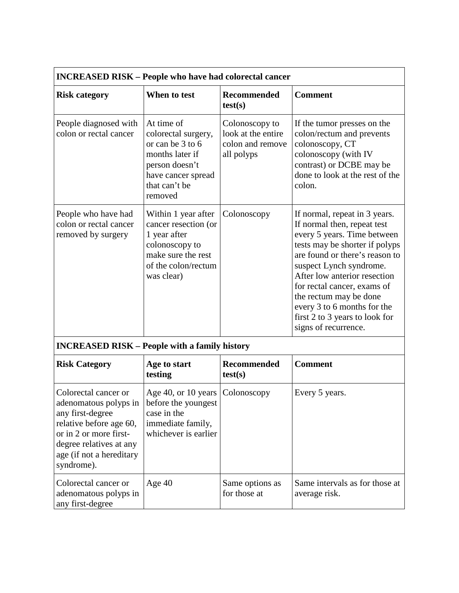| <b>INCREASED RISK - People who have had colorectal cancer</b>                                                                                                                               |                                                                                                                                              |                                                                        |                                                                                                                                                                                                                                                                                                                                                                              |
|---------------------------------------------------------------------------------------------------------------------------------------------------------------------------------------------|----------------------------------------------------------------------------------------------------------------------------------------------|------------------------------------------------------------------------|------------------------------------------------------------------------------------------------------------------------------------------------------------------------------------------------------------------------------------------------------------------------------------------------------------------------------------------------------------------------------|
| <b>Risk category</b>                                                                                                                                                                        | When to test                                                                                                                                 | <b>Recommended</b><br>test(s)                                          | <b>Comment</b>                                                                                                                                                                                                                                                                                                                                                               |
| People diagnosed with<br>colon or rectal cancer                                                                                                                                             | At time of<br>colorectal surgery,<br>or can be 3 to 6<br>months later if<br>person doesn't<br>have cancer spread<br>that can't be<br>removed | Colonoscopy to<br>look at the entire<br>colon and remove<br>all polyps | If the tumor presses on the<br>colon/rectum and prevents<br>colonoscopy, CT<br>colonoscopy (with IV<br>contrast) or DCBE may be<br>done to look at the rest of the<br>colon.                                                                                                                                                                                                 |
| People who have had<br>colon or rectal cancer<br>removed by surgery                                                                                                                         | Within 1 year after<br>cancer resection (or<br>1 year after<br>colonoscopy to<br>make sure the rest<br>of the colon/rectum<br>was clear)     | Colonoscopy                                                            | If normal, repeat in 3 years.<br>If normal then, repeat test<br>every 5 years. Time between<br>tests may be shorter if polyps<br>are found or there's reason to<br>suspect Lynch syndrome.<br>After low anterior resection<br>for rectal cancer, exams of<br>the rectum may be done<br>every 3 to 6 months for the<br>first 2 to 3 years to look for<br>signs of recurrence. |
| <b>INCREASED RISK - People with a family history</b>                                                                                                                                        |                                                                                                                                              |                                                                        |                                                                                                                                                                                                                                                                                                                                                                              |
| <b>Risk Category</b>                                                                                                                                                                        | Age to start<br>testing                                                                                                                      | <b>Recommended</b><br>test(s)                                          | <b>Comment</b>                                                                                                                                                                                                                                                                                                                                                               |
| Colorectal cancer or<br>adenomatous polyps in<br>any first-degree<br>relative before age 60,<br>or in 2 or more first-<br>degree relatives at any<br>age (if not a hereditary<br>syndrome). | Age 40, or 10 years<br>before the youngest<br>case in the<br>immediate family,<br>whichever is earlier                                       | Colonoscopy                                                            | Every 5 years.                                                                                                                                                                                                                                                                                                                                                               |
| Colorectal cancer or<br>adenomatous polyps in<br>any first-degree                                                                                                                           | Age 40                                                                                                                                       | Same options as<br>for those at                                        | Same intervals as for those at<br>average risk.                                                                                                                                                                                                                                                                                                                              |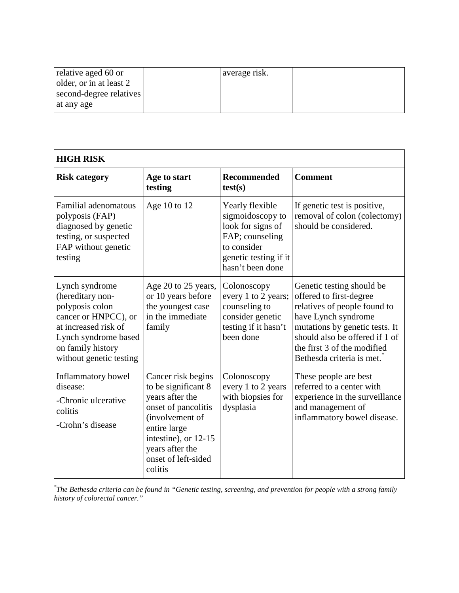| relative aged 60 or     | average risk. |  |
|-------------------------|---------------|--|
| older, or in at least 2 |               |  |
| second-degree relatives |               |  |
| at any age              |               |  |

| <b>HIGH RISK</b>                                                                                                                                                              |                                                                                                                                                                                                     |                                                                                                                                         |                                                                                                                                                                                                                                             |
|-------------------------------------------------------------------------------------------------------------------------------------------------------------------------------|-----------------------------------------------------------------------------------------------------------------------------------------------------------------------------------------------------|-----------------------------------------------------------------------------------------------------------------------------------------|---------------------------------------------------------------------------------------------------------------------------------------------------------------------------------------------------------------------------------------------|
| <b>Risk category</b>                                                                                                                                                          | Age to start<br>testing                                                                                                                                                                             | <b>Recommended</b><br>test(s)                                                                                                           | <b>Comment</b>                                                                                                                                                                                                                              |
| Familial adenomatous<br>polyposis (FAP)<br>diagnosed by genetic<br>testing, or suspected<br>FAP without genetic<br>testing                                                    | Age 10 to 12                                                                                                                                                                                        | Yearly flexible<br>sigmoidoscopy to<br>look for signs of<br>FAP; counseling<br>to consider<br>genetic testing if it<br>hasn't been done | If genetic test is positive,<br>removal of colon (colectomy)<br>should be considered.                                                                                                                                                       |
| Lynch syndrome<br>(hereditary non-<br>polyposis colon<br>cancer or HNPCC), or<br>at increased risk of<br>Lynch syndrome based<br>on family history<br>without genetic testing | Age 20 to 25 years,<br>or 10 years before<br>the youngest case<br>in the immediate<br>family                                                                                                        | Colonoscopy<br>every 1 to 2 years;<br>counseling to<br>consider genetic<br>testing if it hasn't<br>been done                            | Genetic testing should be<br>offered to first-degree<br>relatives of people found to<br>have Lynch syndrome<br>mutations by genetic tests. It<br>should also be offered if 1 of<br>the first 3 of the modified<br>Bethesda criteria is met. |
| Inflammatory bowel<br>disease:<br>-Chronic ulcerative<br>colitis<br>-Crohn's disease                                                                                          | Cancer risk begins<br>to be significant 8<br>years after the<br>onset of pancolitis<br>(involvement of<br>entire large<br>intestine), or 12-15<br>years after the<br>onset of left-sided<br>colitis | Colonoscopy<br>every 1 to 2 years<br>with biopsies for<br>dysplasia                                                                     | These people are best<br>referred to a center with<br>experience in the surveillance<br>and management of<br>inflammatory bowel disease.                                                                                                    |

*\* The Bethesda criteria can be found in "Genetic testing, screening, and prevention for people with a strong family history of colorectal cancer."*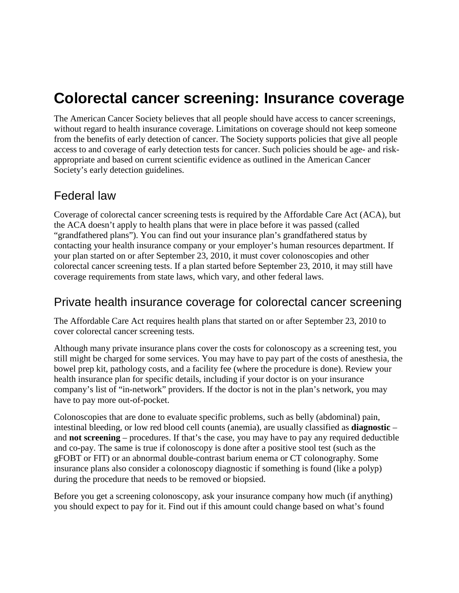# **Colorectal cancer screening: Insurance coverage**

The American Cancer Society believes that all people should have access to cancer screenings, without regard to health insurance coverage. Limitations on coverage should not keep someone from the benefits of early detection of cancer. The Society supports policies that give all people access to and coverage of early detection tests for cancer. Such policies should be age- and riskappropriate and based on current scientific evidence as outlined in the American Cancer Society's early detection guidelines.

## Federal law

Coverage of colorectal cancer screening tests is required by the Affordable Care Act (ACA), but the ACA doesn't apply to health plans that were in place before it was passed (called "grandfathered plans"). You can find out your insurance plan's grandfathered status by contacting your health insurance company or your employer's human resources department. If your plan started on or after September 23, 2010, it must cover colonoscopies and other colorectal cancer screening tests. If a plan started before September 23, 2010, it may still have coverage requirements from state laws, which vary, and other federal laws.

## Private health insurance coverage for colorectal cancer screening

The Affordable Care Act requires health plans that started on or after September 23, 2010 to cover colorectal cancer screening tests.

Although many private insurance plans cover the costs for colonoscopy as a screening test, you still might be charged for some services. You may have to pay part of the costs of anesthesia, the bowel prep kit, pathology costs, and a facility fee (where the procedure is done). Review your health insurance plan for specific details, including if your doctor is on your insurance company's list of "in-network" providers. If the doctor is not in the plan's network, you may have to pay more out-of-pocket.

Colonoscopies that are done to evaluate specific problems, such as belly (abdominal) pain, intestinal bleeding, or low red blood cell counts (anemia), are usually classified as **diagnostic** – and **not screening** – procedures. If that's the case, you may have to pay any required deductible and co-pay. The same is true if colonoscopy is done after a positive stool test (such as the gFOBT or FIT) or an abnormal double-contrast barium enema or CT colonography. Some insurance plans also consider a colonoscopy diagnostic if something is found (like a polyp) during the procedure that needs to be removed or biopsied.

Before you get a screening colonoscopy, ask your insurance company how much (if anything) you should expect to pay for it. Find out if this amount could change based on what's found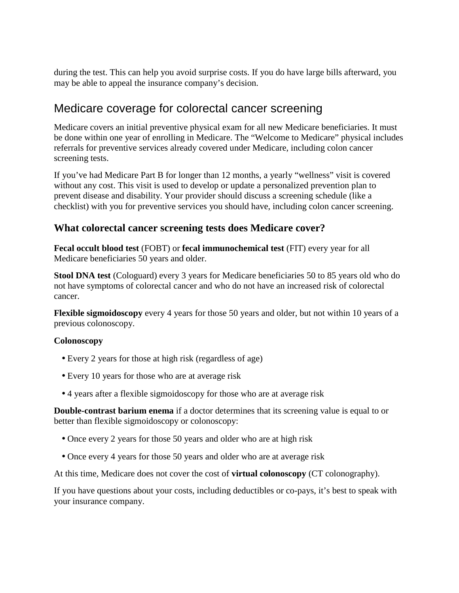during the test. This can help you avoid surprise costs. If you do have large bills afterward, you may be able to appeal the insurance company's decision.

## Medicare coverage for colorectal cancer screening

Medicare covers an initial preventive physical exam for all new Medicare beneficiaries. It must be done within one year of enrolling in Medicare. The "Welcome to Medicare" physical includes referrals for preventive services already covered under Medicare, including colon cancer screening tests.

If you've had Medicare Part B for longer than 12 months, a yearly "wellness" visit is covered without any cost. This visit is used to develop or update a personalized prevention plan to prevent disease and disability. Your provider should discuss a screening schedule (like a checklist) with you for preventive services you should have, including colon cancer screening.

#### **What colorectal cancer screening tests does Medicare cover?**

**Fecal occult blood test** (FOBT) or **fecal immunochemical test** (FIT) every year for all Medicare beneficiaries 50 years and older.

**Stool DNA test** (Cologuard) every 3 years for Medicare beneficiaries 50 to 85 years old who do not have symptoms of colorectal cancer and who do not have an increased risk of colorectal cancer.

**Flexible sigmoidoscopy** every 4 years for those 50 years and older, but not within 10 years of a previous colonoscopy.

#### **Colonoscopy**

- Every 2 years for those at high risk (regardless of age)
- Every 10 years for those who are at average risk
- 4 years after a flexible sigmoidoscopy for those who are at average risk

**Double-contrast barium enema** if a doctor determines that its screening value is equal to or better than flexible sigmoidoscopy or colonoscopy:

- Once every 2 years for those 50 years and older who are at high risk
- Once every 4 years for those 50 years and older who are at average risk

At this time, Medicare does not cover the cost of **virtual colonoscopy** (CT colonography).

If you have questions about your costs, including deductibles or co-pays, it's best to speak with your insurance company.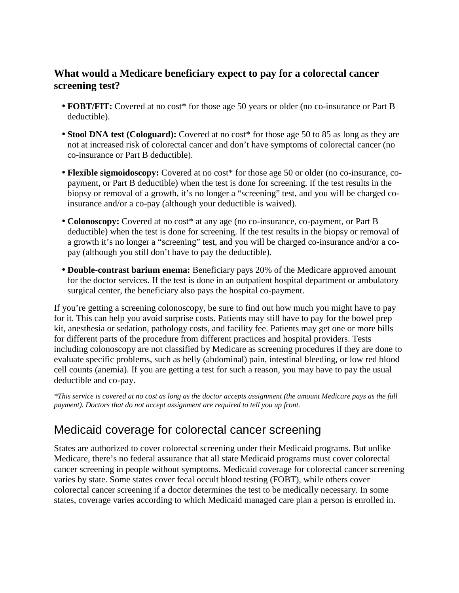## **What would a Medicare beneficiary expect to pay for a colorectal cancer screening test?**

- **FOBT/FIT:** Covered at no cost\* for those age 50 years or older (no co-insurance or Part B deductible).
- **Stool DNA test (Cologuard):** Covered at no cost<sup>\*</sup> for those age 50 to 85 as long as they are not at increased risk of colorectal cancer and don't have symptoms of colorectal cancer (no co-insurance or Part B deductible).
- **Flexible sigmoidoscopy:** Covered at no cost\* for those age 50 or older (no co-insurance, copayment, or Part B deductible) when the test is done for screening. If the test results in the biopsy or removal of a growth, it's no longer a "screening" test, and you will be charged coinsurance and/or a co-pay (although your deductible is waived).
- **Colonoscopy:** Covered at no cost\* at any age (no co-insurance, co-payment, or Part B deductible) when the test is done for screening. If the test results in the biopsy or removal of a growth it's no longer a "screening" test, and you will be charged co-insurance and/or a copay (although you still don't have to pay the deductible).
- **Double-contrast barium enema:** Beneficiary pays 20% of the Medicare approved amount for the doctor services. If the test is done in an outpatient hospital department or ambulatory surgical center, the beneficiary also pays the hospital co-payment.

If you're getting a screening colonoscopy, be sure to find out how much you might have to pay for it. This can help you avoid surprise costs. Patients may still have to pay for the bowel prep kit, anesthesia or sedation, pathology costs, and facility fee. Patients may get one or more bills for different parts of the procedure from different practices and hospital providers. Tests including colonoscopy are not classified by Medicare as screening procedures if they are done to evaluate specific problems, such as belly (abdominal) pain, intestinal bleeding, or low red blood cell counts (anemia). If you are getting a test for such a reason, you may have to pay the usual deductible and co-pay.

*\*This service is covered at no cost as long as the doctor accepts assignment (the amount Medicare pays as the full payment). Doctors that do not accept assignment are required to tell you up front.* 

## Medicaid coverage for colorectal cancer screening

States are authorized to cover colorectal screening under their Medicaid programs. But unlike Medicare, there's no federal assurance that all state Medicaid programs must cover colorectal cancer screening in people without symptoms. Medicaid coverage for colorectal cancer screening varies by state. Some states cover fecal occult blood testing (FOBT), while others cover colorectal cancer screening if a doctor determines the test to be medically necessary. In some states, coverage varies according to which Medicaid managed care plan a person is enrolled in.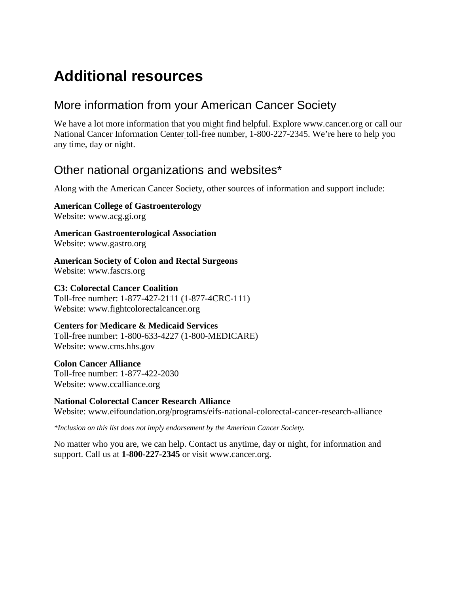# **Additional resources**

## More information from your American Cancer Society

We have a lot more information that you might find helpful. Explore www.cancer.org or call our National Cancer Information Center toll-free number, 1-800-227-2345. We're here to help you any time, day or night.

## Other national organizations and websites\*

Along with the American Cancer Society, other sources of information and support include:

**American College of Gastroenterology** Website: www.acg.gi.org

**American Gastroenterological Association** Website: www.gastro.org

**American Society of Colon and Rectal Surgeons** Website: www.fascrs.org

**C3: Colorectal Cancer Coalition** Toll-free number: 1-877-427-2111 (1-877-4CRC-111) Website: www.fightcolorectalcancer.org

**Centers for Medicare & Medicaid Services** Toll-free number: 1-800-633-4227 (1-800-MEDICARE) Website: www.cms.hhs.gov

**Colon Cancer Alliance** Toll-free number: 1-877-422-2030 Website: www.ccalliance.org

#### **National Colorectal Cancer Research Alliance**

Website: www.eifoundation.org/programs/eifs-national-colorectal-cancer-research-alliance

*\*Inclusion on this list does not imply endorsement by the American Cancer Society.* 

No matter who you are, we can help. Contact us anytime, day or night, for information and support. Call us at **1-800-227-2345** or visit www.cancer.org.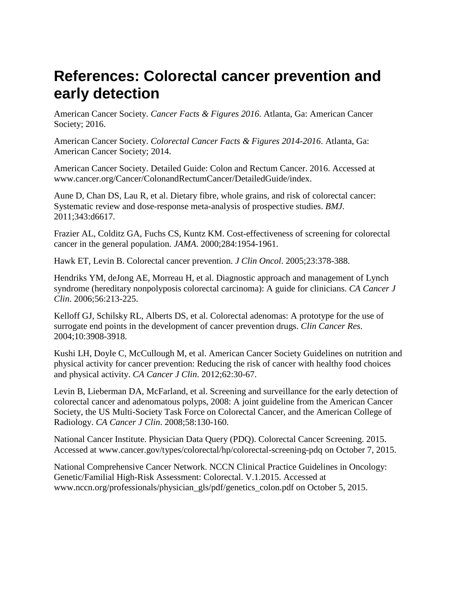# **References: Colorectal cancer prevention and early detection**

American Cancer Society. *Cancer Facts & Figures 2016*. Atlanta, Ga: American Cancer Society; 2016.

American Cancer Society. *Colorectal Cancer Facts & Figures 2014-2016*. Atlanta, Ga: American Cancer Society; 2014.

American Cancer Society. Detailed Guide: Colon and Rectum Cancer. 2016. Accessed at www.cancer.org/Cancer/ColonandRectumCancer/DetailedGuide/index.

Aune D, Chan DS, Lau R, et al. Dietary fibre, whole grains, and risk of colorectal cancer: Systematic review and dose-response meta-analysis of prospective studies. *BMJ*. 2011;343:d6617.

Frazier AL, Colditz GA, Fuchs CS, Kuntz KM. Cost-effectiveness of screening for colorectal cancer in the general population. *JAMA*. 2000;284:1954-1961.

Hawk ET, Levin B. Colorectal cancer prevention. *J Clin Oncol*. 2005;23:378-388.

Hendriks YM, deJong AE, Morreau H, et al. Diagnostic approach and management of Lynch syndrome (hereditary nonpolyposis colorectal carcinoma): A guide for clinicians. *CA Cancer J Clin*. 2006;56:213-225.

Kelloff GJ, Schilsky RL, Alberts DS, et al. Colorectal adenomas: A prototype for the use of surrogate end points in the development of cancer prevention drugs. *Clin Cancer Res*. 2004;10:3908-3918.

Kushi LH, Doyle C, McCullough M, et al. American Cancer Society Guidelines on nutrition and physical activity for cancer prevention: Reducing the risk of cancer with healthy food choices and physical activity. *CA Cancer J Clin*. 2012;62:30-67.

Levin B, Lieberman DA, McFarland, et al. Screening and surveillance for the early detection of colorectal cancer and adenomatous polyps, 2008: A joint guideline from the American Cancer Society, the US Multi-Society Task Force on Colorectal Cancer, and the American College of Radiology. *CA Cancer J Clin*. 2008;58:130-160.

National Cancer Institute. Physician Data Query (PDQ). Colorectal Cancer Screening. 2015. Accessed at www.cancer.gov/types/colorectal/hp/colorectal-screening-pdq on October 7, 2015.

National Comprehensive Cancer Network. NCCN Clinical Practice Guidelines in Oncology: Genetic/Familial High-Risk Assessment: Colorectal. V.1.2015. Accessed at www.nccn.org/professionals/physician\_gls/pdf/genetics\_colon.pdf on October 5, 2015.